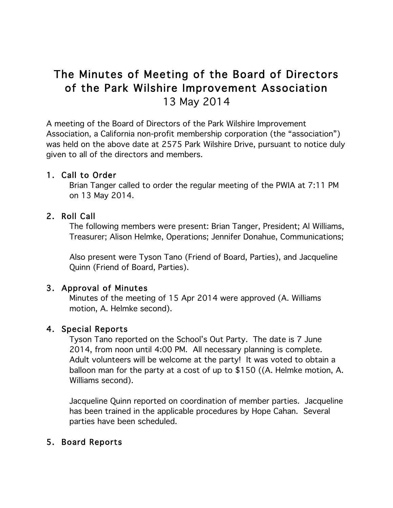# The Minutes of Meeting of the Board of Directors of the Park Wilshire Improvement Association 13 May 2014

A meeting of the Board of Directors of the Park Wilshire Improvement Association, a California non-profit membership corporation (the "association") was held on the above date at 2575 Park Wilshire Drive, pursuant to notice duly given to all of the directors and members.

## 1. Call to Order

Brian Tanger called to order the regular meeting of the PWIA at 7:11 PM on 13 May 2014.

## 2. Roll Call

The following members were present: Brian Tanger, President; Al Williams, Treasurer; Alison Helmke, Operations; Jennifer Donahue, Communications;

Also present were Tyson Tano (Friend of Board, Parties), and Jacqueline Quinn (Friend of Board, Parties).

#### 3. Approval of Minutes

Minutes of the meeting of 15 Apr 2014 were approved (A. Williams motion, A. Helmke second).

#### 4. Special Reports

Tyson Tano reported on the School's Out Party. The date is 7 June 2014, from noon until 4:00 PM. All necessary planning is complete. Adult volunteers will be welcome at the party! It was voted to obtain a balloon man for the party at a cost of up to \$150 ((A. Helmke motion, A. Williams second).

Jacqueline Quinn reported on coordination of member parties. Jacqueline has been trained in the applicable procedures by Hope Cahan. Several parties have been scheduled.

# 5. Board Reports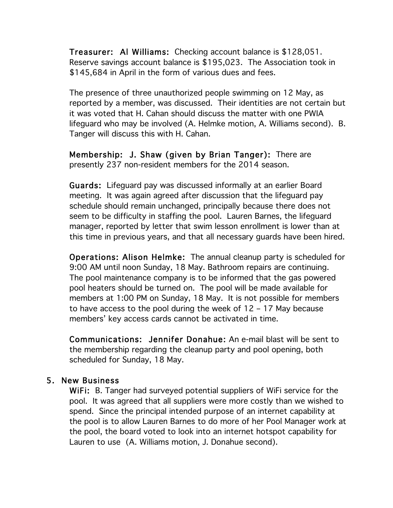Treasurer: Al Williams: Checking account balance is \$128,051. Reserve savings account balance is \$195,023. The Association took in \$145,684 in April in the form of various dues and fees.

The presence of three unauthorized people swimming on 12 May, as reported by a member, was discussed. Their identities are not certain but it was voted that H. Cahan should discuss the matter with one PWIA lifeguard who may be involved (A. Helmke motion, A. Williams second). B. Tanger will discuss this with H. Cahan.

Membership: J. Shaw (given by Brian Tanger): There are presently 237 non-resident members for the 2014 season.

Guards: Lifeguard pay was discussed informally at an earlier Board meeting. It was again agreed after discussion that the lifeguard pay schedule should remain unchanged, principally because there does not seem to be difficulty in staffing the pool. Lauren Barnes, the lifeguard manager, reported by letter that swim lesson enrollment is lower than at this time in previous years, and that all necessary guards have been hired.

Operations: Alison Helmke: The annual cleanup party is scheduled for 9:00 AM until noon Sunday, 18 May. Bathroom repairs are continuing. The pool maintenance company is to be informed that the gas powered pool heaters should be turned on. The pool will be made available for members at 1:00 PM on Sunday, 18 May. It is not possible for members to have access to the pool during the week of 12 – 17 May because members' key access cards cannot be activated in time.

Communications: Jennifer Donahue: An e-mail blast will be sent to the membership regarding the cleanup party and pool opening, both scheduled for Sunday, 18 May.

# 5. New Business

WiFi: B. Tanger had surveyed potential suppliers of WiFi service for the pool. It was agreed that all suppliers were more costly than we wished to spend. Since the principal intended purpose of an internet capability at the pool is to allow Lauren Barnes to do more of her Pool Manager work at the pool, the board voted to look into an internet hotspot capability for Lauren to use (A. Williams motion, J. Donahue second).